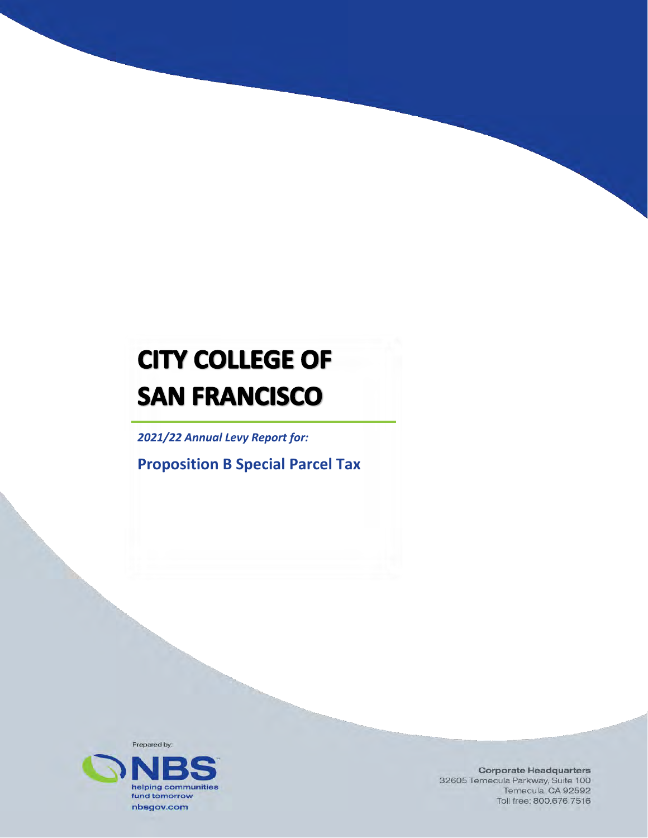# **CITY COLLEGE OF SAN FRANCISCO**

*2021/22 Annual Levy Report for:* 

**Proposition B Special Parcel Tax** 



**Corporate Headquarters** 32605 Temecula Parkway, Suite 100 Temecula, CA 92592 Toll free: 800,676,7516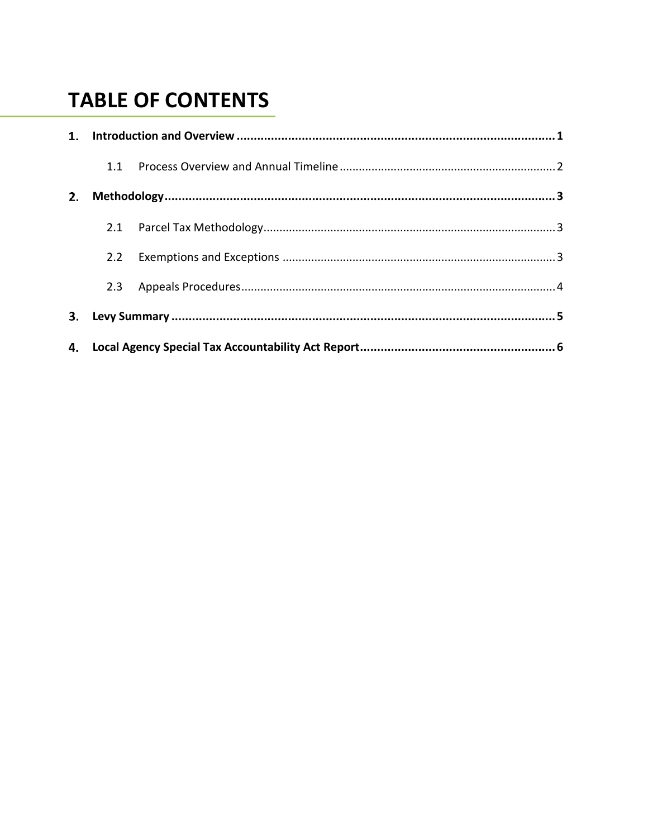# **TABLE OF CONTENTS**

|    | 1.1           |  |  |  |  |
|----|---------------|--|--|--|--|
| 2. |               |  |  |  |  |
|    |               |  |  |  |  |
|    |               |  |  |  |  |
|    |               |  |  |  |  |
|    | $2.2^{\circ}$ |  |  |  |  |
|    | 2.3           |  |  |  |  |
| 3. |               |  |  |  |  |
|    |               |  |  |  |  |
|    |               |  |  |  |  |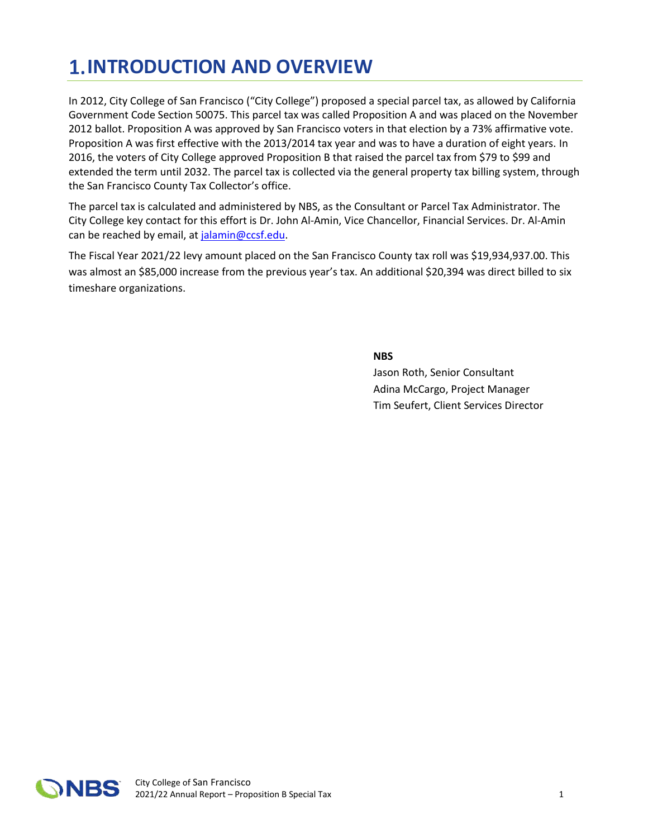# **1. INTRODUCTION AND OVERVIEW**

In 2012, City College of San Francisco ("City College") proposed a special parcel tax, as allowed by California Government Code Section 50075. This parcel tax was called Proposition A and was placed on the November 2012 ballot. Proposition A was approved by San Francisco voters in that election by a 73% affirmative vote. Proposition A was first effective with the 2013/2014 tax year and was to have a duration of eight years. In 2016, the voters of City College approved Proposition B that raised the parcel tax from \$79 to \$99 and extended the term until 2032. The parcel tax is collected via the general property tax billing system, through the San Francisco County Tax Collector's office.

The parcel tax is calculated and administered by NBS, as the Consultant or Parcel Tax Administrator. The City College key contact for this effort is Dr. John Al-Amin, Vice Chancellor, Financial Services. Dr. Al-Amin can be reached by email, at [jalamin@ccsf.edu.](mailto:jalamin@ccsf.edu)

 The Fiscal Year 2021/22 levy amount placed on the San Francisco County tax roll was \$[19,934,937.00](https://19,934,937.00). This was almost an \$85,000 increase from the previous year's tax. An additional \$20,394 was direct billed to six timeshare organizations.

**NBS** 

Jason Roth, Senior Consultant Adina McCargo, Project Manager Tim Seufert, Client Services Director

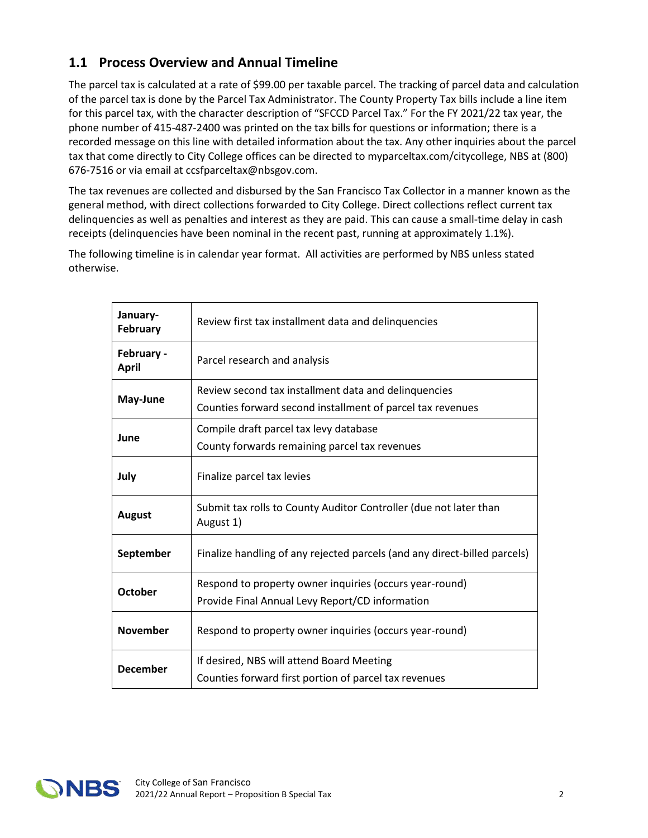#### **1.1 Process Overview and Annual Timeline**

 The parcel tax is calculated at a rate of \$99.00 per taxable parcel. The tracking of parcel data and calculation for this parcel tax, with the character description of "SFCCD Parcel Tax." For the FY 2021/22 tax year, the of the parcel tax is done by the Parcel Tax Administrator. The County Property Tax bills include a line item phone number of 415-487-2400 was printed on the tax bills for questions or information; there is a recorded message on this line with detailed information about the tax. Any other inquiries about the parcel tax that come directly to City College offices can be directed to [myparceltax.com/citycollege](https://myparceltax.com/citycollege), NBS at (800) 676-7516 or via email at [ccsfparceltax@nbsgov.com.](mailto:ccsfparceltax@nbsgov.com)

The tax revenues are collected and disbursed by the San Francisco Tax Collector in a manner known as the general method, with direct collections forwarded to City College. Direct collections reflect current tax delinquencies as well as penalties and interest as they are paid. This can cause a small-time delay in cash receipts (delinquencies have been nominal in the recent past, running at approximately 1.1%).

The following timeline is in calendar year format. All activities are performed by NBS unless stated otherwise.

| January-<br>February       | Review first tax installment data and delinquencies                            |  |  |  |
|----------------------------|--------------------------------------------------------------------------------|--|--|--|
| February -<br><b>April</b> | Parcel research and analysis                                                   |  |  |  |
| May-June                   | Review second tax installment data and delinquencies                           |  |  |  |
|                            | Counties forward second installment of parcel tax revenues                     |  |  |  |
| June                       | Compile draft parcel tax levy database                                         |  |  |  |
|                            | County forwards remaining parcel tax revenues                                  |  |  |  |
| July                       | Finalize parcel tax levies                                                     |  |  |  |
| <b>August</b>              | Submit tax rolls to County Auditor Controller (due not later than<br>August 1) |  |  |  |
| September                  | Finalize handling of any rejected parcels (and any direct-billed parcels)      |  |  |  |
| <b>October</b>             | Respond to property owner inquiries (occurs year-round)                        |  |  |  |
|                            | Provide Final Annual Levy Report/CD information                                |  |  |  |
| <b>November</b>            | Respond to property owner inquiries (occurs year-round)                        |  |  |  |
| <b>December</b>            | If desired, NBS will attend Board Meeting                                      |  |  |  |
|                            | Counties forward first portion of parcel tax revenues                          |  |  |  |

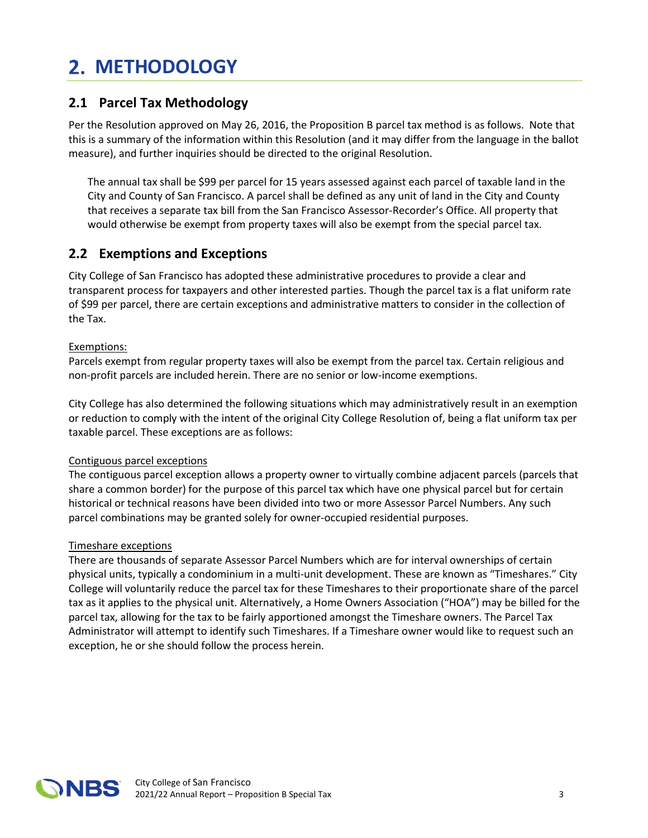## **METHODOLOGY**

#### **2.1 Parcel Tax Methodology**

Per the Resolution approved on May 26, 2016, the Proposition B parcel tax method is as follows. Note that this is a summary of the information within this Resolution (and it may differ from the language in the ballot measure), and further inquiries should be directed to the original Resolution.

The annual tax shall be \$99 per parcel for 15 years assessed against each parcel of taxable land in the City and County of San Francisco. A parcel shall be defined as any unit of land in the City and County that receives a separate tax bill from the San Francisco Assessor-Recorder's Office. All property that would otherwise be exempt from property taxes will also be exempt from the special parcel tax.

#### **2.2 Exemptions and Exceptions**

City College of San Francisco has adopted these administrative procedures to provide a clear and transparent process for taxpayers and other interested parties. Though the parcel tax is a flat uniform rate of \$99 per parcel, there are certain exceptions and administrative matters to consider in the collection of the Tax.

#### Exemptions:

Parcels exempt from regular property taxes will also be exempt from the parcel tax. Certain religious and non-profit parcels are included herein. There are no senior or low-income exemptions.

City College has also determined the following situations which may administratively result in an exemption or reduction to comply with the intent of the original City College Resolution of, being a flat uniform tax per taxable parcel. These exceptions are as follows:

#### Contiguous parcel exceptions

The contiguous parcel exception allows a property owner to virtually combine adjacent parcels (parcels that share a common border) for the purpose of this parcel tax which have one physical parcel but for certain historical or technical reasons have been divided into two or more Assessor Parcel Numbers. Any such parcel combinations may be granted solely for owner-occupied residential purposes.

#### Timeshare exceptions

There are thousands of separate Assessor Parcel Numbers which are for interval ownerships of certain physical units, typically a condominium in a multi-unit development. These are known as "Timeshares." City College will voluntarily reduce the parcel tax for these Timeshares to their proportionate share of the parcel tax as it applies to the physical unit. Alternatively, a Home Owners Association ("HOA") may be billed for the parcel tax, allowing for the tax to be fairly apportioned amongst the Timeshare owners. The Parcel Tax Administrator will attempt to identify such Timeshares. If a Timeshare owner would like to request such an exception, he or she should follow the process herein.

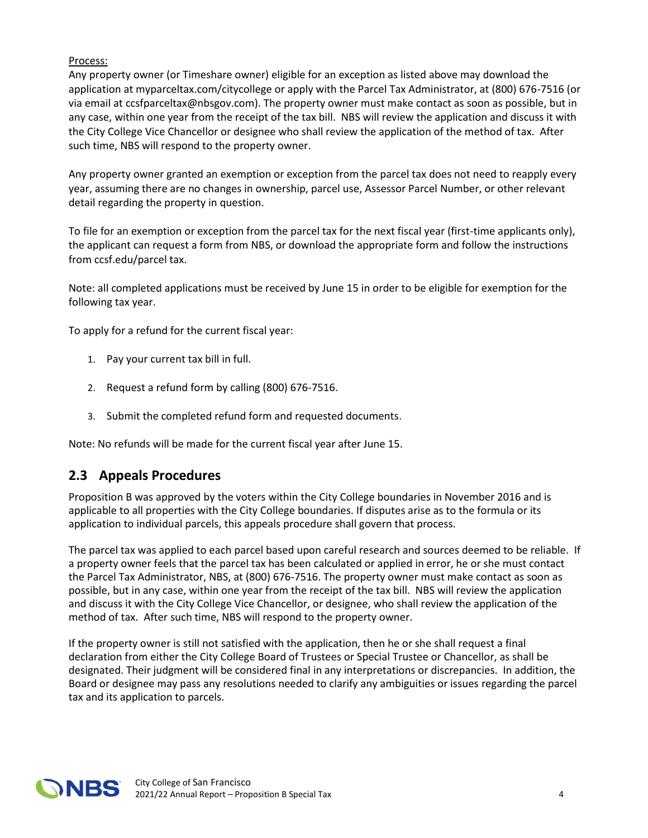#### Process:

 application at [myparceltax.com/citycollege](https://myparceltax.com/citycollege) or apply with the Parcel Tax Administrator, at (800) 676-7516 (or any case, within one year from the receipt of the tax bill. NBS will review the application and discuss it with such time, NBS will respond to the property owner. Any property owner (or Timeshare owner) eligible for an exception as listed above may download the via email at [ccsfparceltax@nbsgov.com](mailto:ccsfparceltax@nbsgov.com)). The property owner must make contact as soon as possible, but in the City College Vice Chancellor or designee who shall review the application of the method of tax. After

Any property owner granted an exemption or exception from the parcel tax does not need to reapply every year, assuming there are no changes in ownership, parcel use, Assessor Parcel Number, or other relevant detail regarding the property in question.

To file for an exemption or exception from the parcel tax for the next fiscal year (first-time applicants only), the applicant can request a form from NBS, or download the appropriate form and follow the instructions from [ccsf.edu/parcel](https://ccsf.edu/parcel) tax.

Note: all completed applications must be received by June 15 in order to be eligible for exemption for the following tax year.

To apply for a refund for the current fiscal year:

- 1. Pay your current tax bill in full.
- 2. Request a refund form by calling (800) 676-7516.
- 3. Submit the completed refund form and requested documents.

Note: No refunds will be made for the current fiscal year after June 15.

#### **2.3 Appeals Procedures**

application to individual parcels, this appeals procedure shall govern that process. Proposition B was approved by the voters within the City College boundaries in November 2016 and is applicable to all properties with the City College boundaries. If disputes arise as to the formula or its

 a property owner feels that the parcel tax has been calculated or applied in error, he or she must contact possible, but in any case, within one year from the receipt of the tax bill. NBS will review the application method of tax. After such time, NBS will respond to the property owner. The parcel tax was applied to each parcel based upon careful research and sources deemed to be reliable. If the Parcel Tax Administrator, NBS, at (800) 676-7516. The property owner must make contact as soon as and discuss it with the City College Vice Chancellor, or designee, who shall review the application of the

If the property owner is still not satisfied with the application, then he or she shall request a final declaration from either the City College Board of Trustees or Special Trustee or Chancellor, as shall be designated. Their judgment will be considered final in any interpretations or discrepancies. In addition, the Board or designee may pass any resolutions needed to clarify any ambiguities or issues regarding the parcel tax and its application to parcels.

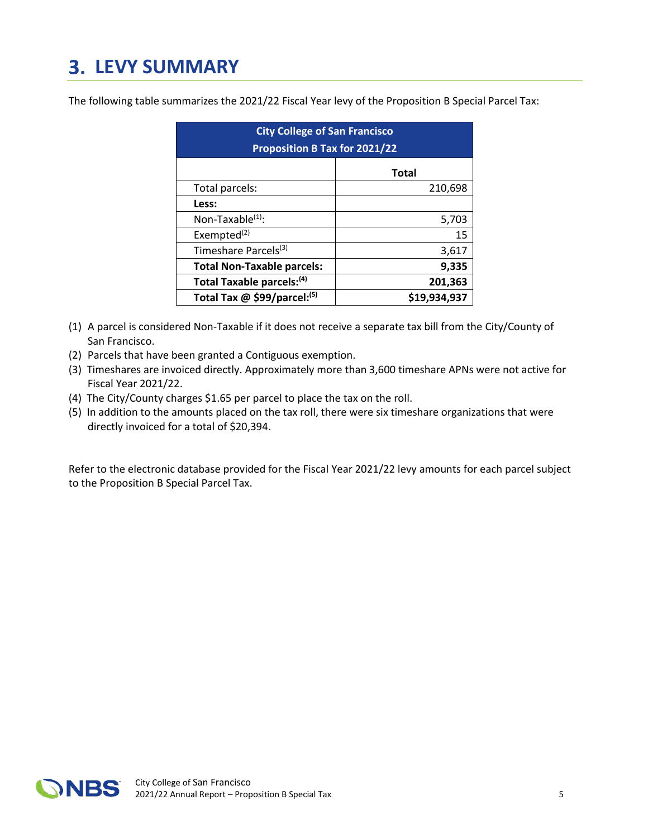## **LEVY SUMMARY**

The following table summarizes the 2021/22 Fiscal Year levy of the Proposition B Special Parcel Tax:

| <b>City College of San Francisco</b><br><b>Proposition B Tax for 2021/22</b> |              |  |  |  |  |  |
|------------------------------------------------------------------------------|--------------|--|--|--|--|--|
|                                                                              | <b>Total</b> |  |  |  |  |  |
| Total parcels:                                                               | 210,698      |  |  |  |  |  |
| Less:                                                                        |              |  |  |  |  |  |
| Non-Taxable <sup>(1)</sup> :                                                 | 5,703        |  |  |  |  |  |
| Exempted <sup>(2)</sup>                                                      | 15           |  |  |  |  |  |
| Timeshare Parcels <sup>(3)</sup>                                             | 3,617        |  |  |  |  |  |
| <b>Total Non-Taxable parcels:</b>                                            | 9,335        |  |  |  |  |  |
| Total Taxable parcels: <sup>(4)</sup>                                        | 201,363      |  |  |  |  |  |
| Total Tax $@$ \$99/parcel: <sup>(5)</sup>                                    | \$19,934,937 |  |  |  |  |  |

- (1) A parcel is considered Non-Taxable if it does not receive a separate tax bill from the City/County of San Francisco.
- (2) Parcels that have been granted a Contiguous exemption.
- (3) Timeshares are invoiced directly. Approximately more than 3,600 timeshare APNs were not active for Fiscal Year 2021/22.
- (4) The City/County charges \$1.65 per parcel to place the tax on the roll.
- (5) In addition to the amounts placed on the tax roll, there were six timeshare organizations that were directly invoiced for a total of \$20,394.

Refer to the electronic database provided for the Fiscal Year 2021/22 levy amounts for each parcel subject to the Proposition B Special Parcel Tax.